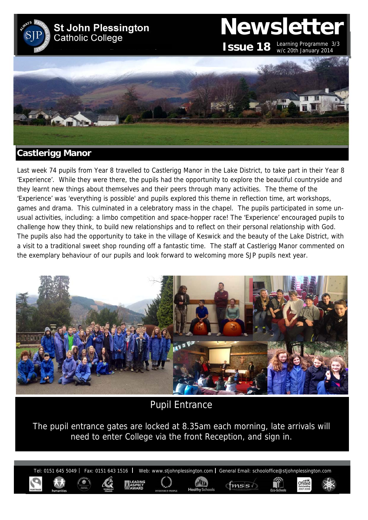

Last week 74 pupils from Year 8 travelled to Castlerigg Manor in the Lake District, to take part in their Year 8 'Experience'. While they were there, the pupils had the opportunity to explore the beautiful countryside and they learnt new things about themselves and their peers through many activities. The theme of the 'Experience' was 'everything is possible' and pupils explored this theme in reflection time, art workshops, games and drama. This culminated in a celebratory mass in the chapel. The pupils participated in some unusual activities, including: a limbo competition and space-hopper race! The 'Experience' encouraged pupils to challenge how they think, to build new relationships and to reflect on their personal relationship with God. The pupils also had the opportunity to take in the village of Keswick and the beauty of the Lake District, with a visit to a traditional sweet shop rounding off a fantastic time. The staff at Castlerigg Manor commented on the exemplary behaviour of our pupils and look forward to welcoming more SJP pupils next year.



Pupil Entrance

The pupil entrance gates are locked at 8.35am each morning, late arrivals will need to enter College via the front Reception, and sign in.

Tel: 0151 645 5049 | Fax: 0151 643 1516 | Web: www.stjohnplessington.com | General Email: schooloffice@stjohnplessington.com

 $fmss$ 

Ofsted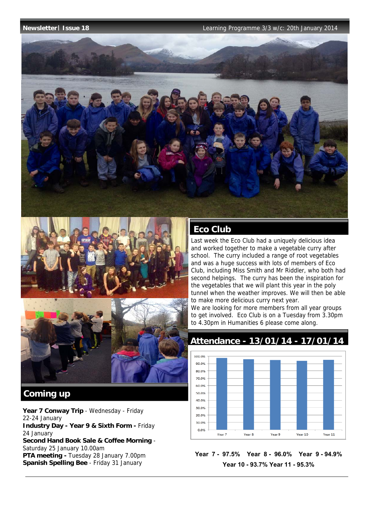

# Eco Club

Last week the Eco Club had a uniquely delicious idea and worked together to make a vegetable curry after school. The curry included a range of root vegetables and was a huge success with lots of members of Eco Club, including Miss Smith and Mr Riddler, who both had second helpings. The curry has been the inspiration for the vegetables that we will plant this year in the poly tunnel when the weather improves. We will then be able to make more delicious curry next year.

We are looking for more members from all year groups to get involved. Eco Club is on a Tuesday from 3.30pm to 4.30pm in Humanities 6 please come along.

## **Attendance - 13/01/14 - 17/01/14**



**Year 7 - 97.5% Year 8 - 96.0% Year 9 - 94.9% Year 10 - 93.7% Year 11 - 95.3%** 

# **Coming up**

Year 7 Conway Trip - Wednesday - Friday 22-24 January **Industry Day - Year 9 & Sixth Form -** Friday 24 January **Second Hand Book Sale & Coffee Morning** - Saturday 25 January 10.00am **PTA meeting -** Tuesday 28 January 7.00pm **Spanish Spelling Bee** - Friday 31 January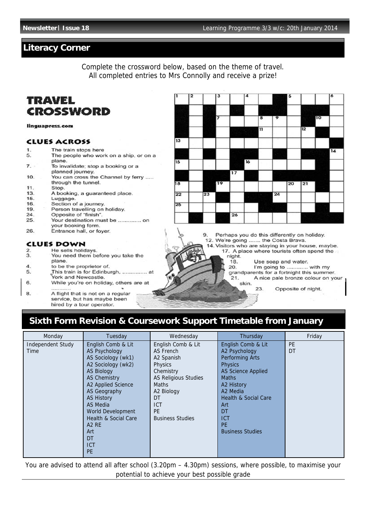## **Literacy Corner**

Complete the crossword below, based on the theme of travel. All completed entries to Mrs Connolly and receive a prize!

# **TRAVEL** CROSSWORD

linguapress.com

### **CLUES ACROSS**

- $1$ The train stops here
- 5 The people who work on a ship, or on a plane.
- 7. To invalidate; stop a booking or a planned journey.
- You can cross the Channel by ferry ..... 10. through the tunnel.
- $11$ Stop.
- 13. A booking, a guaranteed place. 15.
- Luggage. 16.
- Section of a journey. 19. Person travelling on holiday.
- $24.$ Opposite of "finish".
- Your destination must be ............... on 25.
- your booking form.
- 26. Entrance hall, or foyer.

### **CLUES DOWN**

- He sells holidays.  $\overline{2}$  $\overline{3}$ . You need them before you take the plane.
- $\boldsymbol{\Lambda}$ to be the proprietor of.
- 5.
- This train is for Edinburgh, ............... at York and Newcastle. 6. While you're on holiday, others are at
- A flight that is not on a regular 8. service, but has maybe been hired by a tour operator.

| 1               | $\overline{\mathbf{2}}$ |    | 3  |                 | $\overline{\mathbf{4}}$ |                          |                 | 5  |    |    | 6  |
|-----------------|-------------------------|----|----|-----------------|-------------------------|--------------------------|-----------------|----|----|----|----|
|                 |                         |    |    |                 |                         |                          |                 |    |    |    |    |
|                 |                         |    | 7  |                 |                         | 8                        | 9               |    |    | 10 |    |
|                 |                         |    |    |                 |                         | $\overline{1}$           |                 |    | 12 |    |    |
| 13              |                         |    |    |                 |                         |                          |                 |    |    |    |    |
|                 |                         |    |    |                 |                         |                          |                 |    |    |    | 14 |
| 15              |                         |    |    |                 | <b>16</b>               |                          |                 |    |    |    |    |
|                 |                         |    |    | $\overline{17}$ |                         |                          |                 |    |    |    |    |
| 18              |                         |    | 19 |                 |                         |                          |                 | 20 | 21 |    |    |
| $\overline{22}$ |                         | 23 |    |                 | ਵਾਂ                     | <b>Contract Contract</b> | $\overline{24}$ |    |    |    |    |
| 25              |                         |    |    |                 |                         |                          |                 |    |    |    |    |
|                 |                         |    |    | $\overline{26}$ |                         |                          |                 |    |    |    |    |

Perhaps you do this differently on holiday. 9

- 12. We're going ....... the Costa Brava.
- 14. Visitors who are staying in your house, maybe. 17. A place where tourists often spend the night.
	- 18. Use soap and water.

I'm going to ............. with my

20. grandparents for a fortnight this summer. A nice pale bronze colour on your  $21.$ 

skin.

23. Opposite of night.

# Sixth Form Revision & Coursework Support Timetable from January

| Monday            | Tuesday                       | Wednesday                   | Thursday                        | Friday    |
|-------------------|-------------------------------|-----------------------------|---------------------------------|-----------|
| Independent Study | English Comb & Lit            | English Comb & Lit          | English Comb & Lit              | <b>PE</b> |
| Time              | <b>AS Psychology</b>          | AS French                   | A2 Psychology                   | DT        |
|                   | AS Sociology (wk1)            | A2 Spanish                  | Performing Arts                 |           |
|                   | A2 Sociology (wk2)            | Physics                     | <b>Physics</b>                  |           |
|                   | <b>AS Biology</b>             | Chemistry                   | <b>AS Science Applied</b>       |           |
|                   | <b>AS Chemistry</b>           | <b>AS Religious Studies</b> | <b>Maths</b>                    |           |
|                   | A2 Applied Science            | <b>Maths</b>                | A2 History                      |           |
|                   | AS Geography                  | A2 Biology                  | A2 Media                        |           |
|                   | <b>AS History</b>             | DT                          | <b>Health &amp; Social Care</b> |           |
|                   | AS Media                      | <b>ICT</b>                  | Art                             |           |
|                   | World Development             | <b>PE</b>                   | DT                              |           |
|                   | Health & Social Care          | <b>Business Studies</b>     | <b>ICT</b>                      |           |
|                   | A <sub>2</sub> R <sub>E</sub> |                             | <b>PE</b>                       |           |
|                   | Art                           |                             | <b>Business Studies</b>         |           |
|                   | DT                            |                             |                                 |           |
|                   | <b>ICT</b>                    |                             |                                 |           |
|                   | <b>PE</b>                     |                             |                                 |           |

You are advised to attend all after school (3.20pm – 4.30pm) sessions, where possible, to maximise your potential to achieve your best possible grade